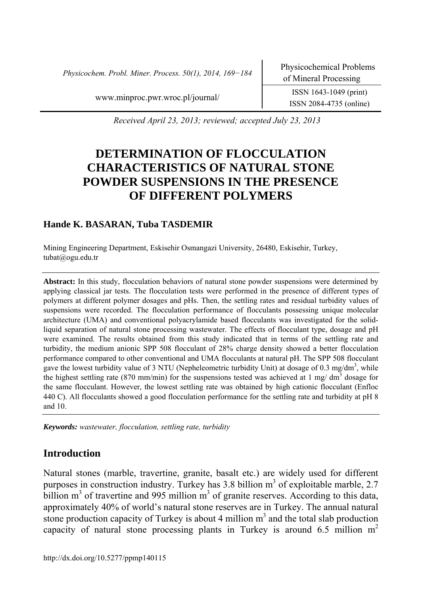*Physicochem. Probl. Miner. Process. 50(1), 2014, 169−184* Physicochemical Problems

www.minproc.pwr.wroc.pl/journal/ ISSN 1643-1049 (print)

ISSN 2084-4735 (online)

*Received April 23, 2013; reviewed; accepted July 23, 2013* 

# **DETERMINATION OF FLOCCULATION CHARACTERISTICS OF NATURAL STONE POWDER SUSPENSIONS IN THE PRESENCE OF DIFFERENT POLYMERS**

# **Hande K. BASARAN, Tuba TASDEMIR**

Mining Engineering Department, Eskisehir Osmangazi University, 26480, Eskisehir, Turkey, tubat@ogu.edu.tr

**Abstract:** In this study, flocculation behaviors of natural stone powder suspensions were determined by applying classical jar tests. The flocculation tests were performed in the presence of different types of polymers at different polymer dosages and pHs. Then, the settling rates and residual turbidity values of suspensions were recorded. The flocculation performance of flocculants possessing unique molecular architecture (UMA) and conventional polyacrylamide based flocculants was investigated for the solidliquid separation of natural stone processing wastewater. The effects of flocculant type, dosage and pH were examined. The results obtained from this study indicated that in terms of the settling rate and turbidity, the medium anionic SPP 508 flocculant of 28% charge density showed a better flocculation performance compared to other conventional and UMA flocculants at natural pH. The SPP 508 flocculant gave the lowest turbidity value of 3 NTU (Nepheleometric turbidity Unit) at dosage of 0.3 mg/dm<sup>3</sup>, while the highest settling rate (870 mm/min) for the suspensions tested was achieved at 1 mg/ dm<sup>3</sup> dosage for the same flocculant. However, the lowest settling rate was obtained by high cationic flocculant (Enfloc 440 C). All flocculants showed a good flocculation performance for the settling rate and turbidity at pH 8 and 10.

*Keywords: wastewater, flocculation, settling rate, turbidity* 

# **Introduction**

Natural stones (marble, travertine, granite, basalt etc.) are widely used for different purposes in construction industry. Turkey has 3.8 billion  $m<sup>3</sup>$  of exploitable marble, 2.7 billion  $m<sup>3</sup>$  of travertine and 995 million  $m<sup>3</sup>$  of granite reserves. According to this data, approximately 40% of world's natural stone reserves are in Turkey. The annual natural stone production capacity of Turkey is about 4 million  $m<sup>3</sup>$  and the total slab production capacity of natural stone processing plants in Turkey is around 6.5 million  $m<sup>2</sup>$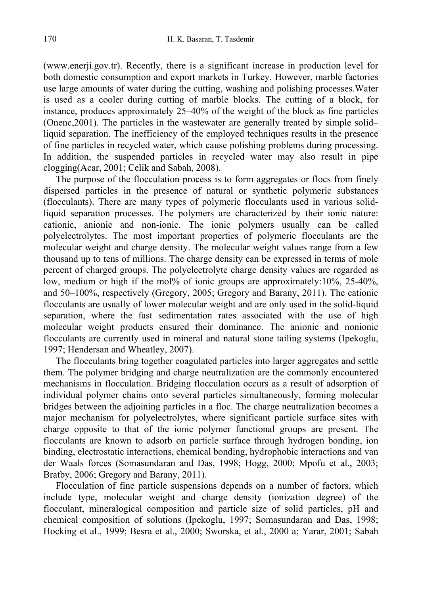(www.enerji.gov.tr). Recently, there is a significant increase in production level for both domestic consumption and export markets in Turkey. However, marble factories use large amounts of water during the cutting, washing and polishing processes.Water is used as a cooler during cutting of marble blocks. The cutting of a block, for instance, produces approximately 25–40% of the weight of the block as fine particles (Onenc,2001). The particles in the wastewater are generally treated by simple solid– liquid separation. The inefficiency of the employed techniques results in the presence of fine particles in recycled water, which cause polishing problems during processing. In addition, the suspended particles in recycled water may also result in pipe clogging(Acar, 2001; Celik and Sabah, 2008).

The purpose of the flocculation process is to form aggregates or flocs from finely dispersed particles in the presence of natural or synthetic polymeric substances (flocculants). There are many types of polymeric flocculants used in various solidliquid separation processes. The polymers are characterized by their ionic nature: cationic, anionic and non-ionic. The ionic polymers usually can be called polyelectrolytes. The most important properties of polymeric flocculants are the molecular weight and charge density. The molecular weight values range from a few thousand up to tens of millions. The charge density can be expressed in terms of mole percent of charged groups. The polyelectrolyte charge density values are regarded as low, medium or high if the mol% of ionic groups are approximately:10%, 25-40%, and 50–100%, respectively (Gregory, 2005; Gregory and Barany, 2011). The cationic flocculants are usually of lower molecular weight and are only used in the solid-liquid separation, where the fast sedimentation rates associated with the use of high molecular weight products ensured their dominance. The anionic and nonionic flocculants are currently used in mineral and natural stone tailing systems (Ipekoglu, 1997; Hendersan and Wheatley, 2007).

The flocculants bring together coagulated particles into larger aggregates and settle them. The polymer bridging and charge neutralization are the commonly encountered mechanisms in flocculation. Bridging flocculation occurs as a result of adsorption of individual polymer chains onto several particles simultaneously, forming molecular bridges between the adjoining particles in a floc. The charge neutralization becomes a major mechanism for polyelectrolytes, where significant particle surface sites with charge opposite to that of the ionic polymer functional groups are present. The flocculants are known to adsorb on particle surface through hydrogen bonding, ion binding, electrostatic interactions, chemical bonding, hydrophobic interactions and van der Waals forces (Somasundaran and Das, 1998; Hogg, 2000; Mpofu et al., 2003; Bratby, 2006; Gregory and Barany, 2011).

Flocculation of fine particle suspensions depends on a number of factors, which include type, molecular weight and charge density (ionization degree) of the flocculant, mineralogical composition and particle size of solid particles, pH and chemical composition of solutions (Ipekoglu, 1997; Somasundaran and Das, 1998; Hocking et al., 1999; Besra et al., 2000; Sworska, et al., 2000 a; Yarar, 2001; Sabah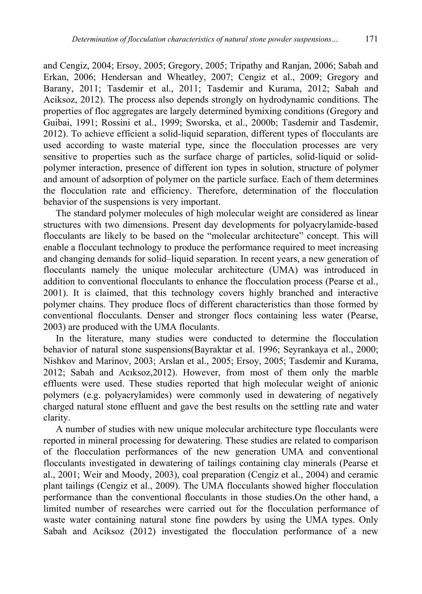and Cengiz, 2004; Ersoy, 2005; Gregory, 2005; Tripathy and Ranjan, 2006; Sabah and Erkan, 2006; Hendersan and Wheatley, 2007; Cengiz et al., 2009; Gregory and Barany, 2011; Tasdemir et al., 2011; Tasdemir and Kurama, 2012; Sabah and Aciksoz, 2012). The process also depends strongly on hydrodynamic conditions. The properties of floc aggregates are largely determined bymixing conditions (Gregory and Guibai, 1991; Rossini et al., 1999; Sworska, et al., 2000b; Tasdemir and Tasdemir, 2012). To achieve efficient a solid-liquid separation, different types of flocculants are used according to waste material type, since the flocculation processes are very sensitive to properties such as the surface charge of particles, solid-liquid or solidpolymer interaction, presence of different ion types in solution, structure of polymer and amount of adsorption of polymer on the particle surface. Each of them determines the flocculation rate and efficiency. Therefore, determination of the flocculation behavior of the suspensions is very important.

The standard polymer molecules of high molecular weight are considered as linear structures with two dimensions. Present day developments for polyacrylamide-based flocculants are likely to be based on the "molecular architecture" concept. This will enable a flocculant technology to produce the performance required to meet increasing and changing demands for solid–liquid separation. In recent years, a new generation of flocculants namely the unique molecular architecture (UMA) was introduced in addition to conventional flocculants to enhance the flocculation process (Pearse et al., 2001). It is claimed, that this technology covers highly branched and interactive polymer chains. They produce flocs of different characteristics than those formed by conventional flocculants. Denser and stronger flocs containing less water (Pearse, 2003) are produced with the UMA floculants.

In the literature, many studies were conducted to determine the flocculation behavior of natural stone suspensions(Bayraktar et al. 1996; Seyrankaya et al., 2000; Nishkov and Marinov, 2003; Arslan et al., 2005; Ersoy, 2005; Tasdemir and Kurama, 2012; Sabah and Acıksoz,2012). However, from most of them only the marble effluents were used. These studies reported that high molecular weight of anionic polymers (e.g. polyacrylamides) were commonly used in dewatering of negatively charged natural stone effluent and gave the best results on the settling rate and water clarity.

A number of studies with new unique molecular architecture type flocculants were reported in mineral processing for dewatering. These studies are related to comparison of the flocculation performances of the new generation UMA and conventional flocculants investigated in dewatering of tailings containing clay minerals (Pearse et al., 2001; Weir and Moody, 2003), coal preparation (Cengiz et al., 2004) and ceramic plant tailings (Cengiz et al., 2009). The UMA flocculants showed higher flocculation performance than the conventional flocculants in those studies.On the other hand, a limited number of researches were carried out for the flocculation performance of waste water containing natural stone fine powders by using the UMA types. Only Sabah and Aciksoz (2012) investigated the flocculation performance of a new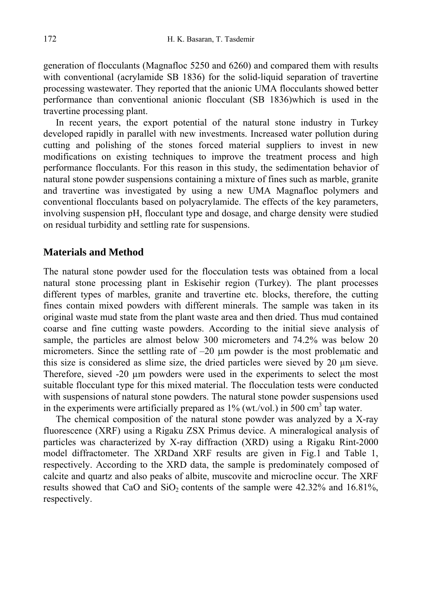generation of flocculants (Magnafloc 5250 and 6260) and compared them with results with conventional (acrylamide SB 1836) for the solid-liquid separation of travertine processing wastewater. They reported that the anionic UMA flocculants showed better performance than conventional anionic flocculant (SB 1836)which is used in the travertine processing plant.

In recent years, the export potential of the natural stone industry in Turkey developed rapidly in parallel with new investments. Increased water pollution during cutting and polishing of the stones forced material suppliers to invest in new modifications on existing techniques to improve the treatment process and high performance flocculants. For this reason in this study, the sedimentation behavior of natural stone powder suspensions containing a mixture of fines such as marble, granite and travertine was investigated by using a new UMA Magnafloc polymers and conventional flocculants based on polyacrylamide. The effects of the key parameters, involving suspension pH, flocculant type and dosage, and charge density were studied on residual turbidity and settling rate for suspensions.

### **Materials and Method**

The natural stone powder used for the flocculation tests was obtained from a local natural stone processing plant in Eskisehir region (Turkey). The plant processes different types of marbles, granite and travertine etc. blocks, therefore, the cutting fines contain mixed powders with different minerals. The sample was taken in its original waste mud state from the plant waste area and then dried. Thus mud contained coarse and fine cutting waste powders. According to the initial sieve analysis of sample, the particles are almost below 300 micrometers and 74.2% was below 20 micrometers. Since the settling rate of  $-20 \mu m$  powder is the most problematic and this size is considered as slime size, the dried particles were sieved by 20 µm sieve. Therefore, sieved -20 µm powders were used in the experiments to select the most suitable flocculant type for this mixed material. The flocculation tests were conducted with suspensions of natural stone powders. The natural stone powder suspensions used in the experiments were artificially prepared as  $1\%$  (wt./vol.) in 500 cm<sup>3</sup> tap water.

The chemical composition of the natural stone powder was analyzed by a X-ray fluorescence (XRF) using a Rigaku ZSX Primus device. A mineralogical analysis of particles was characterized by X-ray diffraction (XRD) using a Rigaku Rint-2000 model diffractometer. The XRDand XRF results are given in Fig.1 and Table 1, respectively. According to the XRD data, the sample is predominately composed of calcite and quartz and also peaks of albite, muscovite and microcline occur. The XRF results showed that CaO and  $SiO<sub>2</sub>$  contents of the sample were 42.32% and 16.81%, respectively.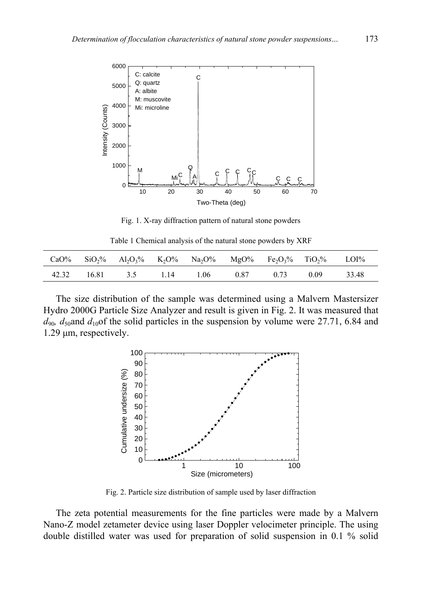

Fig. 1. X-ray diffraction pattern of natural stone powders

Table 1 Chemical analysis of the natural stone powders by XRF

|  | CaO% SiO <sub>2</sub> % Al <sub>2</sub> O <sub>3</sub> % K <sub>2</sub> O% Na <sub>2</sub> O% MgO% Fe <sub>2</sub> O <sub>3</sub> % TiO <sub>2</sub> % LOI% |      |      |      |      |       |
|--|-------------------------------------------------------------------------------------------------------------------------------------------------------------|------|------|------|------|-------|
|  | 42.32 16.81 3.5 1.14                                                                                                                                        | 1.06 | 0.87 | 0.73 | 0.09 | 33.48 |

The size distribution of the sample was determined using a Malvern Mastersizer Hydro 2000G Particle Size Analyzer and result is given in Fig. 2. It was measured that  $d_{90}$ ,  $d_{50}$ and  $d_{10}$ of the solid particles in the suspension by volume were 27.71, 6.84 and 1.29 µm, respectively.



Fig. 2. Particle size distribution of sample used by laser diffraction

The zeta potential measurements for the fine particles were made by a Malvern Nano-Z model zetameter device using laser Doppler velocimeter principle. The using double distilled water was used for preparation of solid suspension in 0.1 % solid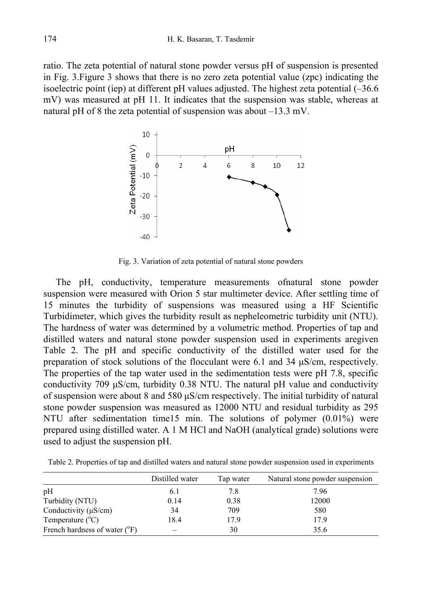ratio. The zeta potential of natural stone powder versus pH of suspension is presented in Fig. 3.Figure 3 shows that there is no zero zeta potential value (zpc) indicating the isoelectric point (iep) at different pH values adjusted. The highest zeta potential (–36.6 mV) was measured at pH 11. It indicates that the suspension was stable, whereas at natural pH of 8 the zeta potential of suspension was about –13.3 mV.



Fig. 3. Variation of zeta potential of natural stone powders

The pH, conductivity, temperature measurements ofnatural stone powder suspension were measured with Orion 5 star multimeter device. After settling time of 15 minutes the turbidity of suspensions was measured using a HF Scientific Turbidimeter, which gives the turbidity result as nepheleometric turbidity unit (NTU). The hardness of water was determined by a volumetric method. Properties of tap and distilled waters and natural stone powder suspension used in experiments aregiven Table 2. The pH and specific conductivity of the distilled water used for the preparation of stock solutions of the flocculant were 6.1 and 34 µS/cm, respectively. The properties of the tap water used in the sedimentation tests were pH 7.8, specific conductivity 709 µS/cm, turbidity 0.38 NTU. The natural pH value and conductivity of suspension were about 8 and 580 µS/cm respectively. The initial turbidity of natural stone powder suspension was measured as 12000 NTU and residual turbidity as 295 NTU after sedimentation time15 min. The solutions of polymer (0.01%) were prepared using distilled water. A 1 M HCl and NaOH (analytical grade) solutions were used to adjust the suspension pH.

Table 2. Properties of tap and distilled waters and natural stone powder suspension used in experiments

|                                        | Distilled water | Tap water | Natural stone powder suspension |
|----------------------------------------|-----------------|-----------|---------------------------------|
| pH                                     | 6.1             | 7.8       | 7.96                            |
| Turbidity (NTU)                        | 0.14            | 0.38      | 12000                           |
| Conductivity $(\mu S/cm)$              | 34              | 709       | 580                             |
| Temperature $(^{\circ}C)$              | 18.4            | 17.9      | 17.9                            |
| French hardness of water $(^{\circ}F)$ |                 | 30        | 35.6                            |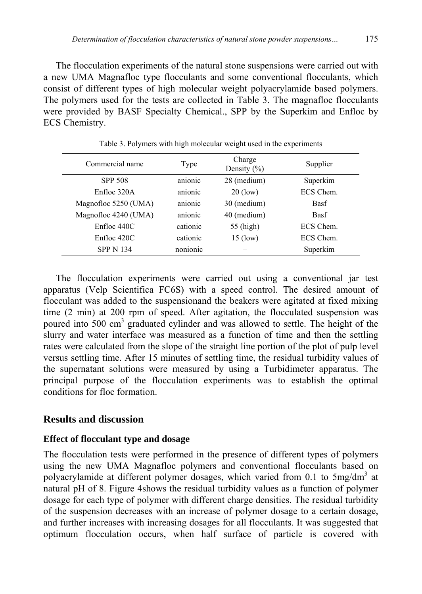The flocculation experiments of the natural stone suspensions were carried out with a new UMA Magnafloc type flocculants and some conventional flocculants, which consist of different types of high molecular weight polyacrylamide based polymers. The polymers used for the tests are collected in Table 3. The magnafloc flocculants were provided by BASF Specialty Chemical., SPP by the Superkim and Enfloc by ECS Chemistry.

| Commercial name      | Type     | Charge<br>Density $(\% )$ | Supplier    |
|----------------------|----------|---------------------------|-------------|
| <b>SPP 508</b>       | anionic  | 28 (medium)               | Superkim    |
| Enfloc 320A          | anionic  | $20$ (low)                | ECS Chem.   |
| Magnofloc 5250 (UMA) | anionic  | 30 (medium)               | <b>Basf</b> |
| Magnofloc 4240 (UMA) | anionic  | 40 (medium)               | <b>Basf</b> |
| Enfloc 440C          | cationic | 55 (high)                 | ECS Chem.   |
| Enfloc 420C          | cationic | $15$ (low)                | ECS Chem.   |
| <b>SPP N 134</b>     | nonionic |                           | Superkim    |
|                      |          |                           |             |

Table 3. Polymers with high molecular weight used in the experiments

The flocculation experiments were carried out using a conventional jar test apparatus (Velp Scientifica FC6S) with a speed control. The desired amount of flocculant was added to the suspensionand the beakers were agitated at fixed mixing time (2 min) at 200 rpm of speed. After agitation, the flocculated suspension was poured into 500 cm<sup>3</sup> graduated cylinder and was allowed to settle. The height of the slurry and water interface was measured as a function of time and then the settling rates were calculated from the slope of the straight line portion of the plot of pulp level versus settling time. After 15 minutes of settling time, the residual turbidity values of the supernatant solutions were measured by using a Turbidimeter apparatus. The principal purpose of the flocculation experiments was to establish the optimal conditions for floc formation.

#### **Results and discussion**

#### **Effect of flocculant type and dosage**

The flocculation tests were performed in the presence of different types of polymers using the new UMA Magnafloc polymers and conventional flocculants based on polyacrylamide at different polymer dosages, which varied from 0.1 to 5mg/dm<sup>3</sup> at natural pH of 8. Figure 4shows the residual turbidity values as a function of polymer dosage for each type of polymer with different charge densities. The residual turbidity of the suspension decreases with an increase of polymer dosage to a certain dosage, and further increases with increasing dosages for all flocculants. It was suggested that optimum flocculation occurs, when half surface of particle is covered with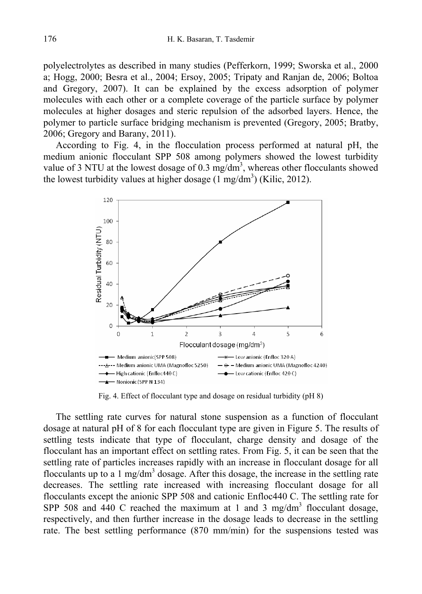polyelectrolytes as described in many studies (Pefferkorn, 1999; Sworska et al., 2000 a; Hogg, 2000; Besra et al., 2004; Ersoy, 2005; Tripaty and Ranjan de, 2006; Boltoa and Gregory, 2007). It can be explained by the excess adsorption of polymer molecules with each other or a complete coverage of the particle surface by polymer molecules at higher dosages and steric repulsion of the adsorbed layers. Hence, the polymer to particle surface bridging mechanism is prevented (Gregory, 2005; Bratby, 2006; Gregory and Barany, 2011).

According to Fig. 4, in the flocculation process performed at natural pH, the medium anionic flocculant SPP 508 among polymers showed the lowest turbidity value of 3 NTU at the lowest dosage of 0.3 mg/dm<sup>3</sup>, whereas other flocculants showed the lowest turbidity values at higher dosage  $(1 \text{ mg/dm}^3)$  (Kilic, 2012).



Fig. 4. Effect of flocculant type and dosage on residual turbidity (pH 8)

The settling rate curves for natural stone suspension as a function of flocculant dosage at natural pH of 8 for each flocculant type are given in Figure 5. The results of settling tests indicate that type of flocculant, charge density and dosage of the flocculant has an important effect on settling rates. From Fig. 5, it can be seen that the settling rate of particles increases rapidly with an increase in flocculant dosage for all flocculants up to a 1 mg/dm<sup>3</sup> dosage. After this dosage, the increase in the settling rate decreases. The settling rate increased with increasing flocculant dosage for all flocculants except the anionic SPP 508 and cationic Enfloc440 C. The settling rate for SPP 508 and 440 C reached the maximum at 1 and 3 mg/dm<sup>3</sup> flocculant dosage, respectively, and then further increase in the dosage leads to decrease in the settling rate. The best settling performance (870 mm/min) for the suspensions tested was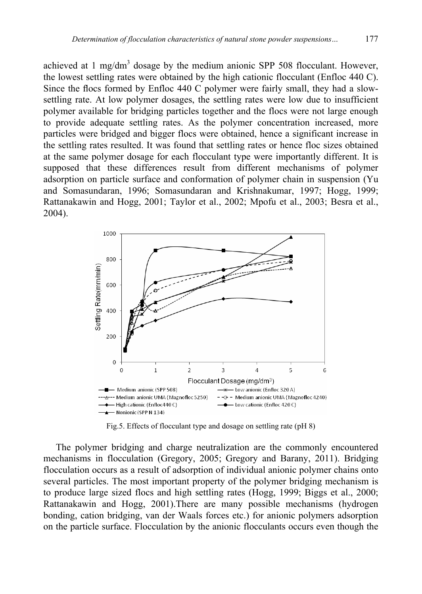achieved at  $1 \text{ mg/dm}^3$  dosage by the medium anionic SPP 508 flocculant. However, the lowest settling rates were obtained by the high cationic flocculant (Enfloc 440 C). Since the flocs formed by Enfloc 440 C polymer were fairly small, they had a slowsettling rate. At low polymer dosages, the settling rates were low due to insufficient polymer available for bridging particles together and the flocs were not large enough to provide adequate settling rates. As the polymer concentration increased, more particles were bridged and bigger flocs were obtained, hence a significant increase in the settling rates resulted. It was found that settling rates or hence floc sizes obtained at the same polymer dosage for each flocculant type were importantly different. It is supposed that these differences result from different mechanisms of polymer adsorption on particle surface and conformation of polymer chain in suspension (Yu and Somasundaran, 1996; Somasundaran and Krishnakumar, 1997; Hogg, 1999; Rattanakawin and Hogg, 2001; Taylor et al., 2002; Mpofu et al., 2003; Besra et al., 2004).



Fig.5. Effects of flocculant type and dosage on settling rate (pH 8)

The polymer bridging and charge neutralization are the commonly encountered mechanisms in flocculation (Gregory, 2005; Gregory and Barany, 2011). Bridging flocculation occurs as a result of adsorption of individual anionic polymer chains onto several particles. The most important property of the polymer bridging mechanism is to produce large sized flocs and high settling rates (Hogg, 1999; Biggs et al., 2000; Rattanakawin and Hogg, 2001).There are many possible mechanisms (hydrogen bonding, cation bridging, van der Waals forces etc.) for anionic polymers adsorption on the particle surface. Flocculation by the anionic flocculants occurs even though the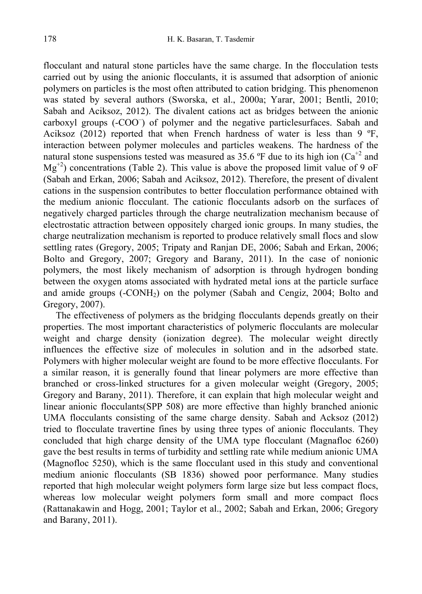flocculant and natural stone particles have the same charge. In the flocculation tests carried out by using the anionic flocculants, it is assumed that adsorption of anionic polymers on particles is the most often attributed to cation bridging. This phenomenon was stated by several authors (Sworska, et al., 2000a; Yarar, 2001; Bentli, 2010; Sabah and Aciksoz, 2012). The divalent cations act as bridges between the anionic carboxyl groups (-COO– ) of polymer and the negative particlesurfaces. Sabah and Aciksoz (2012) reported that when French hardness of water is less than 9 ºF, interaction between polymer molecules and particles weakens. The hardness of the natural stone suspensions tested was measured as 35.6 °F due to its high ion  $(Ca^{+2}$  and  $Mg^{+2}$ ) concentrations (Table 2). This value is above the proposed limit value of 9 oF (Sabah and Erkan, 2006; Sabah and Aciksoz, 2012). Therefore, the present of divalent cations in the suspension contributes to better flocculation performance obtained with the medium anionic flocculant. The cationic flocculants adsorb on the surfaces of negatively charged particles through the charge neutralization mechanism because of electrostatic attraction between oppositely charged ionic groups. In many studies, the charge neutralization mechanism is reported to produce relatively small flocs and slow settling rates (Gregory, 2005; Tripaty and Ranjan DE, 2006; Sabah and Erkan, 2006; Bolto and Gregory, 2007; Gregory and Barany, 2011). In the case of nonionic polymers, the most likely mechanism of adsorption is through hydrogen bonding between the oxygen atoms associated with hydrated metal ions at the particle surface and amide groups  $(-\text{CONH}_2)$  on the polymer (Sabah and Cengiz, 2004; Bolto and Gregory, 2007).

The effectiveness of polymers as the bridging flocculants depends greatly on their properties. The most important characteristics of polymeric flocculants are molecular weight and charge density (ionization degree). The molecular weight directly influences the effective size of molecules in solution and in the adsorbed state. Polymers with higher molecular weight are found to be more effective flocculants. For a similar reason, it is generally found that linear polymers are more effective than branched or cross-linked structures for a given molecular weight (Gregory, 2005; Gregory and Barany, 2011). Therefore, it can explain that high molecular weight and linear anionic flocculants(SPP 508) are more effective than highly branched anionic UMA flocculants consisting of the same charge density. Sabah and Acksoz (2012) tried to flocculate travertine fines by using three types of anionic flocculants. They concluded that high charge density of the UMA type flocculant (Magnafloc 6260) gave the best results in terms of turbidity and settling rate while medium anionic UMA (Magnofloc 5250), which is the same flocculant used in this study and conventional medium anionic flocculants (SB 1836) showed poor performance. Many studies reported that high molecular weight polymers form large size but less compact flocs, whereas low molecular weight polymers form small and more compact flocs (Rattanakawin and Hogg, 2001; Taylor et al., 2002; Sabah and Erkan, 2006; Gregory and Barany, 2011).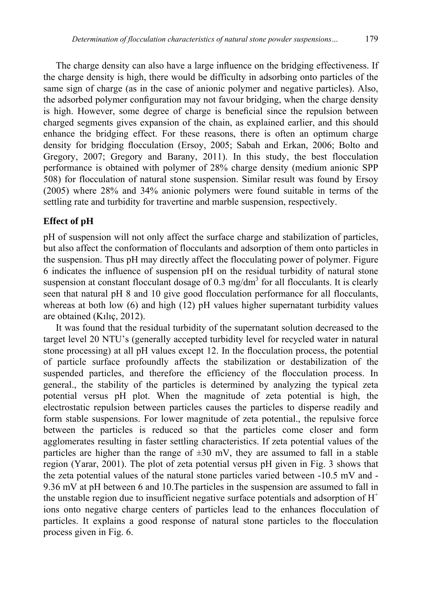The charge density can also have a large influence on the bridging effectiveness. If the charge density is high, there would be difficulty in adsorbing onto particles of the same sign of charge (as in the case of anionic polymer and negative particles). Also, the adsorbed polymer configuration may not favour bridging, when the charge density is high. However, some degree of charge is beneficial since the repulsion between charged segments gives expansion of the chain, as explained earlier, and this should enhance the bridging effect. For these reasons, there is often an optimum charge density for bridging flocculation (Ersoy, 2005; Sabah and Erkan, 2006; Bolto and Gregory, 2007; Gregory and Barany, 2011). In this study, the best flocculation performance is obtained with polymer of 28% charge density (medium anionic SPP 508) for flocculation of natural stone suspension. Similar result was found by Ersoy (2005) where 28% and 34% anionic polymers were found suitable in terms of the settling rate and turbidity for travertine and marble suspension, respectively.

#### **Effect of pH**

pH of suspension will not only affect the surface charge and stabilization of particles, but also affect the conformation of flocculants and adsorption of them onto particles in the suspension. Thus pH may directly affect the flocculating power of polymer. Figure 6 indicates the influence of suspension pH on the residual turbidity of natural stone suspension at constant flocculant dosage of  $0.3 \text{ mg/dm}^3$  for all flocculants. It is clearly seen that natural pH 8 and 10 give good flocculation performance for all flocculants, whereas at both low (6) and high (12) pH values higher supernatant turbidity values are obtained (Kılıç, 2012).

It was found that the residual turbidity of the supernatant solution decreased to the target level 20 NTU's (generally accepted turbidity level for recycled water in natural stone processing) at all pH values except 12. In the flocculation process, the potential of particle surface profoundly affects the stabilization or destabilization of the suspended particles, and therefore the efficiency of the flocculation process. In general., the stability of the particles is determined by analyzing the typical zeta potential versus pH plot. When the magnitude of zeta potential is high, the electrostatic repulsion between particles causes the particles to disperse readily and form stable suspensions. For lower magnitude of zeta potential., the repulsive force between the particles is reduced so that the particles come closer and form agglomerates resulting in faster settling characteristics. If zeta potential values of the particles are higher than the range of  $\pm 30$  mV, they are assumed to fall in a stable region (Yarar, 2001). The plot of zeta potential versus pH given in Fig. 3 shows that the zeta potential values of the natural stone particles varied between -10.5 mV and - 9.36 mV at pH between 6 and 10.The particles in the suspension are assumed to fall in the unstable region due to insufficient negative surface potentials and adsorption of  $H^+$ ions onto negative charge centers of particles lead to the enhances flocculation of particles. It explains a good response of natural stone particles to the flocculation process given in Fig. 6.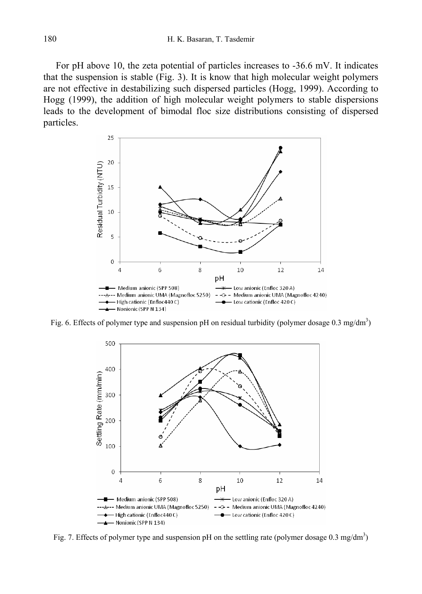For pH above 10, the zeta potential of particles increases to -36.6 mV. It indicates that the suspension is stable (Fig. 3). It is know that high molecular weight polymers are not effective in destabilizing such dispersed particles (Hogg, 1999). According to Hogg (1999), the addition of high molecular weight polymers to stable dispersions leads to the development of bimodal floc size distributions consisting of dispersed particles.



Fig. 6. Effects of polymer type and suspension pH on residual turbidity (polymer dosage  $0.3 \text{ mg/dm}^3$ )



Fig. 7. Effects of polymer type and suspension pH on the settling rate (polymer dosage 0.3 mg/dm<sup>3</sup>)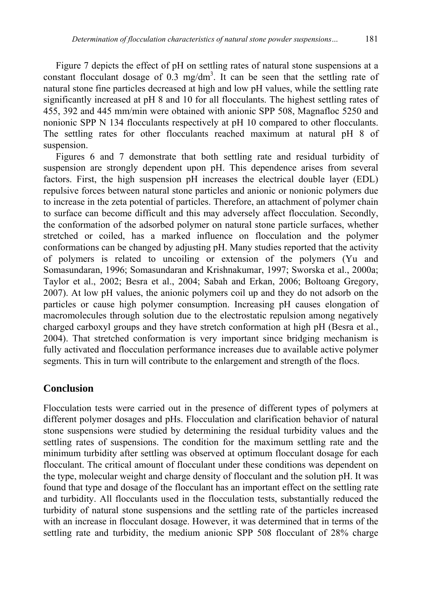Figure 7 depicts the effect of pH on settling rates of natural stone suspensions at a constant flocculant dosage of  $0.3 \text{ mg/dm}^3$ . It can be seen that the settling rate of natural stone fine particles decreased at high and low pH values, while the settling rate significantly increased at pH 8 and 10 for all flocculants. The highest settling rates of 455, 392 and 445 mm/min were obtained with anionic SPP 508, Magnafloc 5250 and nonionic SPP N 134 flocculants respectively at pH 10 compared to other flocculants. The settling rates for other flocculants reached maximum at natural pH 8 of suspension.

Figures 6 and 7 demonstrate that both settling rate and residual turbidity of suspension are strongly dependent upon pH. This dependence arises from several factors. First, the high suspension pH increases the electrical double layer (EDL) repulsive forces between natural stone particles and anionic or nonionic polymers due to increase in the zeta potential of particles. Therefore, an attachment of polymer chain to surface can become difficult and this may adversely affect flocculation. Secondly, the conformation of the adsorbed polymer on natural stone particle surfaces, whether stretched or coiled, has a marked influence on flocculation and the polymer conformations can be changed by adjusting pH. Many studies reported that the activity of polymers is related to uncoiling or extension of the polymers (Yu and Somasundaran, 1996; Somasundaran and Krishnakumar, 1997; Sworska et al., 2000a; Taylor et al., 2002; Besra et al., 2004; Sabah and Erkan, 2006; Boltoang Gregory, 2007). At low pH values, the anionic polymers coil up and they do not adsorb on the particles or cause high polymer consumption. Increasing pH causes elongation of macromolecules through solution due to the electrostatic repulsion among negatively charged carboxyl groups and they have stretch conformation at high pH (Besra et al., 2004). That stretched conformation is very important since bridging mechanism is fully activated and flocculation performance increases due to available active polymer segments. This in turn will contribute to the enlargement and strength of the flocs.

## **Conclusion**

Flocculation tests were carried out in the presence of different types of polymers at different polymer dosages and pHs. Flocculation and clarification behavior of natural stone suspensions were studied by determining the residual turbidity values and the settling rates of suspensions. The condition for the maximum settling rate and the minimum turbidity after settling was observed at optimum flocculant dosage for each flocculant. The critical amount of flocculant under these conditions was dependent on the type, molecular weight and charge density of flocculant and the solution pH. It was found that type and dosage of the flocculant has an important effect on the settling rate and turbidity. All flocculants used in the flocculation tests, substantially reduced the turbidity of natural stone suspensions and the settling rate of the particles increased with an increase in flocculant dosage. However, it was determined that in terms of the settling rate and turbidity, the medium anionic SPP 508 flocculant of 28% charge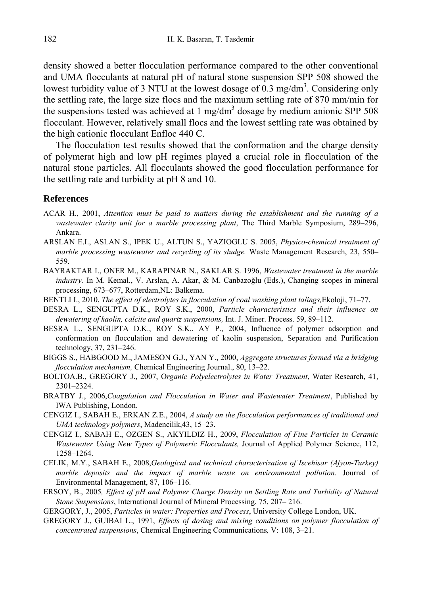density showed a better flocculation performance compared to the other conventional and UMA flocculants at natural pH of natural stone suspension SPP 508 showed the lowest turbidity value of 3 NTU at the lowest dosage of  $\overline{0.3}$  mg/dm<sup>3</sup>. Considering only the settling rate, the large size flocs and the maximum settling rate of 870 mm/min for the suspensions tested was achieved at  $1 \text{ mg/dm}^3$  dosage by medium anionic SPP 508 flocculant. However, relatively small flocs and the lowest settling rate was obtained by the high cationic flocculant Enfloc 440 C.

The flocculation test results showed that the conformation and the charge density of polymerat high and low pH regimes played a crucial role in flocculation of the natural stone particles. All flocculants showed the good flocculation performance for the settling rate and turbidity at pH 8 and 10.

#### **References**

- ACAR H., 2001, *Attention must be paid to matters during the establishment and the running of a wastewater clarity unit for a marble processing plant*, The Third Marble Symposium, 289–296, Ankara.
- ARSLAN E.I., ASLAN S., IPEK U., ALTUN S., YAZIOGLU S. 2005, *Physico-chemical treatment of marble processing wastewater and recycling of its sludge.* Waste Management Research, 23, 550– 559.
- BAYRAKTAR I., ONER M., KARAPINAR N., SAKLAR S. 1996, *Wastewater treatment in the marble industry.* In M. Kemal., V. Arslan, A. Akar, & M. Canbazoğlu (Eds.), Changing scopes in mineral processing, 673–677, Rotterdam,NL: Balkema.
- BENTLI I., 2010, *The effect of electrolytes in flocculation of coal washing plant talings,*Ekoloji, 71–77.
- BESRA L., SENGUPTA D.K., ROY S.K., 2000, *Particle characteristics and their influence on dewatering of kaolin, calcite and quartz suspensions,* Int. J. Miner. Process. 59, 89–112.
- BESRA L., SENGUPTA D.K., ROY S.K., AY P., 2004, Influence of polymer adsorption and conformation on flocculation and dewatering of kaolin suspension, Separation and Purification technology, 37, 231–246.
- BIGGS S., HABGOOD M., JAMESON G.J., YAN Y., 2000, *Aggregate structures formed via a bridging flocculation mechanism,* Chemical Engineering Journal., 80, 13–22.
- BOLTOA.B., GREGORY J., 2007, O*rganic Polyelectrolytes in Water Treatment*, Water Research, 41, 2301–2324.
- BRATBY J., 2006,*Coagulation and Flocculation in Water and Wastewater Treatment*, Published by IWA Publishing, London.
- CENGIZ I., SABAH E., ERKAN Z.E., 2004, *A study on the flocculation performances of traditional and UMA technology polymers*, Madencilik,43, 15–23.
- CENGIZ I., SABAH E., OZGEN S., AKYILDIZ H., 2009, *Flocculation of Fine Particles in Ceramic Wastewater Using New Types of Polymeric Flocculants,* Journal of Applied Polymer Science, 112, 1258–1264.
- CELIK, M.Y., SABAH E., 2008,*Geological and technical characterization of Iscehisar (Afyon-Turkey) marble deposits and the impact of marble waste on environmental pollution.* Journal of Environmental Management, 87, 106–116.
- ERSOY, B., 2005*, Effect of pH and Polymer Charge Density on Settling Rate and Turbidity of Natural Stone Suspensions*, International Journal of Mineral Processing, 75, 207– 216.
- GERGORY, J., 2005, *Particles in water: Properties and Process*, University College London, UK.
- GREGORY J., GUIBAI L., 1991, *Effects of dosing and mixing conditions on polymer flocculation of concentrated suspensions*, Chemical Engineering Communications*,* V: 108, 3–21.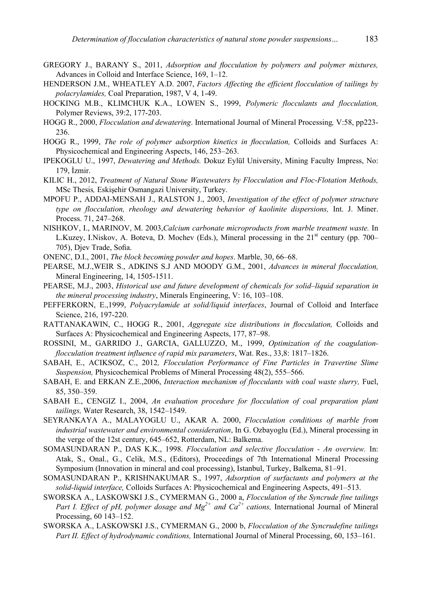- GREGORY J., BARANY S., 2011, *Adsorption and flocculation by polymers and polymer mixtures,*  Advances in Colloid and Interface Science, 169, 1–12.
- HENDERSON J.M., WHEATLEY A.D. 2007, *Factors Affecting the efficient flocculation of tailings by polacrylamides,* Coal Preparation, 1987, V 4, 1-49.
- HOCKING M.B., KLIMCHUK K.A., LOWEN S., 1999, *Polymeric flocculants and flocculation,*  Polymer Reviews, 39:2, 177-203.
- HOGG R., 2000, *Flocculation and dewatering*. International Journal of Mineral Processing*,* V:58, pp223- 236.
- HOGG R., 1999, *The role of polymer adsorption kinetics in flocculation,* Colloids and Surfaces A: Physicochemical and Engineering Aspects, 146, 253–263.
- IPEKOGLU U., 1997, *Dewatering and Methods.* Dokuz Eylül University, Mining Faculty Impress, No: 179, İzmir.
- KILIC H., 2012, *Treatment of Natural Stone Wastewaters by Flocculation and Floc-Flotation Methods,*  MSc Thesis*,* Eskişehir Osmangazi University, Turkey.
- MPOFU P., ADDAI-MENSAH J., RALSTON J., 2003, *Investigation of the effect of polymer structure type on flocculation, rheology and dewatering behavior of kaolinite dispersions,* Int. J. Miner. Process. 71, 247–268.
- NISHKOV, I., MARINOV, M. 2003,*Calcium carbonate microproducts from marble treatment waste.* In L.Kuzey, I.Niskov, A. Boteva, D. Mochev (Eds.), Mineral processing in the  $21<sup>st</sup>$  century (pp. 700– 705), Djev Trade, Sofia.

ONENC, D.I., 2001, *The block becoming powder and hopes*. Marble, 30, 66–68.

- PEARSE, M.J.,WEIR S., ADKINS S.J AND MOODY G.M., 2001, *Advances in mineral flocculation,* Mineral Engineering, 14, 1505-1511.
- PEARSE, M.J., 2003, *Historical use and future development of chemicals for solid–liquid separation in the mineral processing industry*, Minerals Engineering, V: 16, 103–108.
- PEFFERKORN, E.,1999, *Polyacrylamide at solid/liquid interfaces*, Journal of Colloid and Interface Science, 216, 197-220.
- RATTANAKAWIN, C., HOGG R., 2001, *Aggregate size distributions in flocculation,* Colloids and Surfaces A: Physicochemical and Engineering Aspects, 177, 87–98.
- ROSSINI, M., GARRIDO J., GARCIA, GALLUZZO, M., 1999, *Optimization of the coagulationflocculation treatment influence of rapid mix parameters*, Wat. Res., 33,8: 1817–1826.
- SABAH, E., ACIKSOZ, C., 2012*, Flocculation Performance of Fine Particles in Travertine Slime Suspension,* Physicochemical Problems of Mineral Processing 48(2), 555–566.
- SABAH, E. and ERKAN Z.E.,2006, *Interaction mechanism of flocculants with coal waste slurry*, Fuel, 85, 350–359.
- SABAH E., CENGIZ I., 2004, *An evaluation procedure for flocculation of coal preparation plant tailings,* Water Research, 38, 1542–1549.
- SEYRANKAYA A., MALAYOGLU U., AKAR A. 2000, *Flocculation conditions of marble from industrial wastewater and environmental consideration*, In G. Ozbayoglu (Ed.), Mineral processing in the verge of the 12st century, 645–652, Rotterdam, NL: Balkema.
- SOMASUNDARAN P., DAS K.K., 1998. *Flocculation and selective flocculation An overview.* In: Atak, S., Onal., G., Celik, M.S., (Editors), Proceedings of 7th International Mineral Processing Symposium (Innovation in mineral and coal processing), Istanbul, Turkey, Balkema, 81–91.
- SOMASUNDARAN P., KRISHNAKUMAR S., 1997, *Adsorption of surfactants and polymers at the solid-liquid interface,* Colloids Surfaces A: Physicochemical and Engineering Aspects, 491–513.
- SWORSKA A., LASKOWSKI J.S., CYMERMAN G., 2000 a, *Flocculation of the Syncrude fine tailings Part I. Effect of pH, polymer dosage and*  $Mg^{2+}$  *and*  $Ca^{2+}$  *cations, International Journal of Mineral* Processing, 60 143–152.
- SWORSKA A., LASKOWSKI J.S., CYMERMAN G., 2000 b, *Flocculation of the Syncrudefine tailings Part II. Effect of hydrodynamic conditions,* International Journal of Mineral Processing, 60, 153–161.